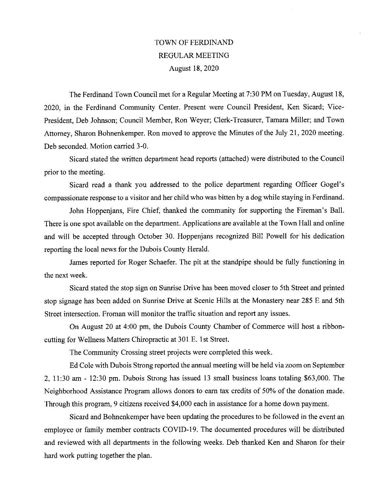## TOWN OF FERDINAND REGULAR MEETING August 18, 2020

The Ferdinand Town Council met for a Regular Meeting at 7:30 PM on Tuesday, August 18, 2020, in the Ferdinand Community Center. Present were Council President, Ken Sicard; Vice-President, Deb Johnson; Council Member, Ron Weyer; Clerk-Treasurer, Tamara Miller; and Town Attorney, Sharon Bohnenkemper. Ron moved to approve the Minutes of the July 21, 2020 meeting. Deb seconded. Motion carried 3-0.

Sicard stated the written department head reports (attached) were distributed to the Council prior to the meeting.

Sicard read a thank you addressed to the police department regarding Officer Gogel's compassionate response to a visitor and her child who was bitten by a dog while staying in Ferdinand.

John Hoppenjans, Fire Chief, thanked the community for supporting the Fireman's Ball. There is one spot available on the department. Applications are available at the Town Hall and online and will be accepted through October 30. Hoppenjans recognized Bill Powell for' his dedication reporting the local news for the Dubois County Herald.

James reported for Roger Schaefer. The pit at the standpipe should be fully functioning in the next week.

Sicard stated the stop sign on Sunrise Drive has been moved closer to 5th Street and printed stop signage has been added on Sunrise Drive at Scenic Hills at the Monastery near 285 E and 5th Street intersection. Froman will monitor the traffic situation and report any issues.

On August 20 at 4:00 pm, the Dubois County Chamber of Commerce will host aribboncutting for Wellness Matters Chiropractic at 301 E. 1st Street.

The Community Crossing street projects were completed this week.

Ed Cole with Dubois Strong reported the annual meeting will be held via zoom on September 2, 11:30 am - 12:30 pm. Dubois Strong has issued 13 small business loans totaling \$63,000. The Neighborhood Assistance Program allows donors to earn tax credits of 50% of the donation made. Through this program, 9 citizens received \$4,000 each in assistance for a home down payment.

Sicazd and Bohnenkemper have been updating the procedures to be followed in the event an employee or family member contracts COVID-19. The documented procedures will be distributed and reviewed with all departments in the following weeks. Deb thanked Ken and Sharon for their hard work putting together the plan.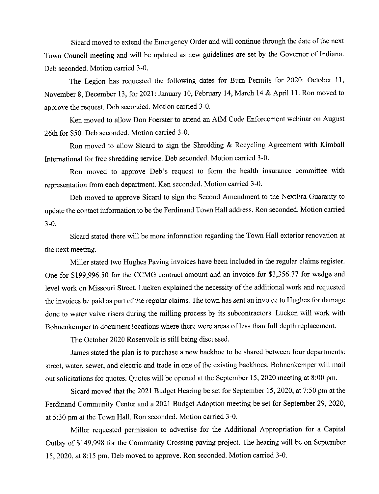Sicard moved to extend the Emergency Order and will continue through the date of the next Town Council meeting and will be updated as new guidelines are set by the Governor of Indiana. Deb seconded. Motion carried 3-0.

The Legion has requested the following dates for Burn Permits for 2020: October 11, November 8, December 13, for 2021: January 10, February 14, March 14 & April 11. Ron moved to approve the request. Deb seconded. Motion carried 3-0.

Ken moved to allow Don Foerster to attend an AIM Code Enforcement webinar on August 26th for \$50. Deb seconded. Motion carried 3-0.

Ron moved to allow Sicard to sign the Shredding & Recycling Agreement with Kimball International for free shredding service. Deb seconded. Motion carried 3-0.

Ron moved to approve Deb's request to form the health insurance committee with representation from each department. Ken seconded. Motion carried 3-0.

Deb moved to approve Sicard to sign the Second Amendment to the NextEra Guaranty to update the contact information to be the Ferdinand Town Hall address. Ron seconded. Motion carried 3-0.

Sicazd stated there will be more information regarding the Town Hall exterior renovation at the next meeting.

Miller stated two Hughes Paving invoices have been included in the regulaz claims register. One for \$199,996.50 for the CCMG contract amount and an invoice for \$3,356.77 for wedge and level work on Missouri Street. Lueken explained the necessity of the additional work and requested the invoices be paid as part of the regular claims. The town has sent an invoice to Hughes for damage done to water valve risers during the milling process by its subcontractors. Lueken will work with Bohnenkemper to document locations where there were azeas of less than full depth replacement.

The October 2020 Rosenvolk is still being discussed.

James stated the plan is to purchase a new backhoe to be shared between four departments: street, water, sewer, and electric and trade in one of the existing backhoes. Bohnenkemper will mail out solicitations for quotes. Quotes will be opened at the September 15, 2020 meeting at 8:00 pm.

Sicard moved that the 2021 Budget Hearing be set for September 15, 2020, at 7:50 pm at the Ferdinand Community Center and a 2021 Budget Adoption meeting be set for September 29, 2020, at 5:30 pm at the Town Hall. Ron seconded. Motion carried 3-0.

Miller requested permission to advertise for the Additional Appropriation for a Capital Outlay of \$149,998 for the Community Crossing paving project. The hearing will be on September 15, 2020, at 8:15 pm. Deb moved to approve. Ron seconded. Motion carried 3-0.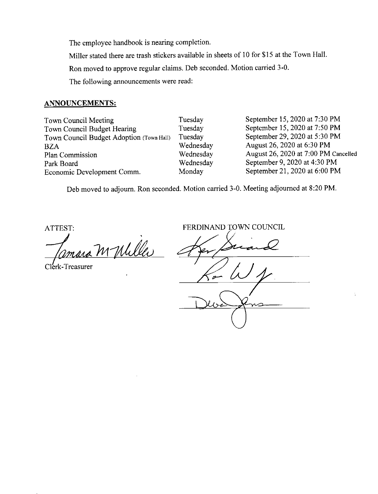The employee handbook is nearing completion.

Miller stated there are trash stickers available in sheets of 10 for \$15 at the Town Hall.

Ron moved to approve regular claims. Deb seconded. Motion carried 3-0.

The following announcements were read:

## ANNOUNCEMENTS:

Town Council Meeting Town Council Budget Hearing Town Council Budget Adoption (Town Hall) BZA Plan Commission Park Board Economic Development Comm.

Tuesday Tuesday Tuesday Wednesday Wednesday Wednesday Monday

September 15, 2020 at 7:30 PM September 15, 2020 at 7:50 PM September 29, 2020 at 5:30 PM August 26, 2020 at 6:30 PM August 26, 2020 at 7:00 PM Cancelled September 9, 2020 at 4:30 PM September 21, 2020 at 6:00 PM

Deb moved to adjourn. Ron seconded. Motion carried 3-0. Meeting adjourned at 8:20 PM.

ATTEST:

m Milles

Clerk-Treasurer

FERDINAND TOWN COUNCIL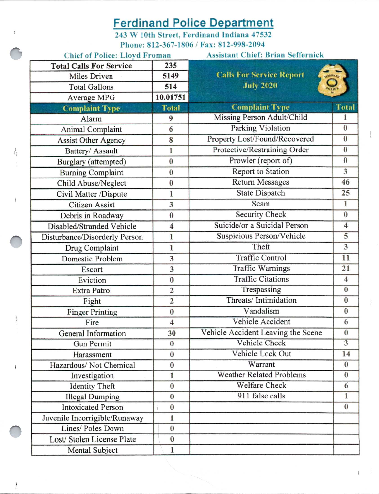## **Ferdinand Police Department**

243 W 10th Street, Ferdinand Indiana 47532 Phone: 812-367-1806 / Fax: 812-998-2094

| <b>Chief of Police: Lloyd Froman</b> |                         | <b>Assistant Chief: Brian Seffernick</b>          |                         |  |  |  |  |  |  |  |
|--------------------------------------|-------------------------|---------------------------------------------------|-------------------------|--|--|--|--|--|--|--|
| <b>Total Calls For Service</b>       | 235                     |                                                   |                         |  |  |  |  |  |  |  |
| Miles Driven                         | 5149                    | <b>Calls For Service Report</b><br><b>LADINAR</b> |                         |  |  |  |  |  |  |  |
| <b>Total Gallons</b>                 | 514                     | <b>July 2020</b>                                  | otiel                   |  |  |  |  |  |  |  |
| Average MPG                          | 10.01751                |                                                   |                         |  |  |  |  |  |  |  |
| <b>Complaint Type</b>                | <b>Total</b>            | <b>Complaint Type</b>                             | <b>Total</b>            |  |  |  |  |  |  |  |
| Alarm                                | 9                       | Missing Person Adult/Child                        | 1                       |  |  |  |  |  |  |  |
| <b>Animal Complaint</b>              | 6                       | Parking Violation                                 | $\bf{0}$                |  |  |  |  |  |  |  |
| <b>Assist Other Agency</b>           | 8                       | Property Lost/Found/Recovered                     | $\bf{0}$                |  |  |  |  |  |  |  |
| Battery/ Assault                     | 1                       | Protective/Restraining Order                      | $\bf{0}$                |  |  |  |  |  |  |  |
| Burglary (attempted)                 | $\bf{0}$                | Prowler (report of)                               | $\bf{0}$                |  |  |  |  |  |  |  |
| <b>Burning Complaint</b>             | $\bf{0}$                | Report to Station                                 | $\overline{3}$          |  |  |  |  |  |  |  |
| Child Abuse/Neglect                  | $\bf{0}$                | <b>Return Messages</b>                            | 46                      |  |  |  |  |  |  |  |
| Civil Matter /Dispute                | 1                       | State Dispatch                                    | 25                      |  |  |  |  |  |  |  |
| <b>Citizen Assist</b>                | 3                       | Scam                                              | $\mathbf{I}$            |  |  |  |  |  |  |  |
| Debris in Roadway                    | $\bf{0}$                | <b>Security Check</b>                             | $\bf{0}$                |  |  |  |  |  |  |  |
| Disabled/Stranded Vehicle            | 4                       | Suicide/or a Suicidal Person                      | $\overline{\bf 4}$      |  |  |  |  |  |  |  |
| Disturbance/Disorderly Person        | 1                       | Suspicious Person/Vehicle                         | 5                       |  |  |  |  |  |  |  |
| Drug Complaint                       | 1                       | Theft                                             | 3                       |  |  |  |  |  |  |  |
| Domestic Problem                     | 3                       | <b>Traffic Control</b>                            | 11                      |  |  |  |  |  |  |  |
| Escort                               | 3                       | <b>Traffic Warnings</b>                           | 21                      |  |  |  |  |  |  |  |
| Eviction                             | $\bf{0}$                | <b>Traffic Citations</b>                          | $\overline{\mathbf{4}}$ |  |  |  |  |  |  |  |
| Extra Patrol                         | $\overline{2}$          | Trespassing                                       | $\bf{0}$                |  |  |  |  |  |  |  |
| Fight                                | $\overline{2}$          | Threats/Intimidation                              | $\bf{0}$                |  |  |  |  |  |  |  |
| <b>Finger Printing</b>               | $\bf{0}$                | Vandalism                                         | $\bf{0}$                |  |  |  |  |  |  |  |
| Fire                                 | $\overline{\mathbf{4}}$ | Vehicle Accident                                  | 6                       |  |  |  |  |  |  |  |
| General Information                  | 30                      | Vehicle Accident Leaving the Scene                | $\bf{0}$                |  |  |  |  |  |  |  |
| Gun Permit                           | $\bf{0}$                | Vehicle Check                                     | $\overline{3}$          |  |  |  |  |  |  |  |
| Harassment                           | $\bf{0}$                | Vehicle Lock Out                                  | 14                      |  |  |  |  |  |  |  |
| Hazardous/Not Chemical               | $\bf{0}$                | Warrant                                           | $\bf{0}$                |  |  |  |  |  |  |  |
| Investigation                        | 1                       | <b>Weather Related Problems</b>                   | $\bf{0}$                |  |  |  |  |  |  |  |
| <b>Identity Theft</b>                | $\bf{0}$                | <b>Welfare Check</b>                              | 6                       |  |  |  |  |  |  |  |
| <b>Illegal Dumping</b>               | $\bf{0}$                | 911 false calls                                   | $\mathbf{1}$            |  |  |  |  |  |  |  |
| <b>Intoxicated Person</b>            | $\bf{0}$                |                                                   | $\bf{0}$                |  |  |  |  |  |  |  |
| Juvenile Incorrigible/Runaway        | 1                       |                                                   |                         |  |  |  |  |  |  |  |
| Lines/ Poles Down                    | $\bf{0}$                |                                                   |                         |  |  |  |  |  |  |  |
| Lost/Stolen License Plate            | $\bf{0}$                |                                                   |                         |  |  |  |  |  |  |  |
| Mental Subject                       | 1                       |                                                   |                         |  |  |  |  |  |  |  |

 $\frac{\hbar}{\sqrt{2}}$ 

 $\frac{1}{1}$ 

 $\mathbf{I}$ 

 $\frac{\lambda}{\lambda}$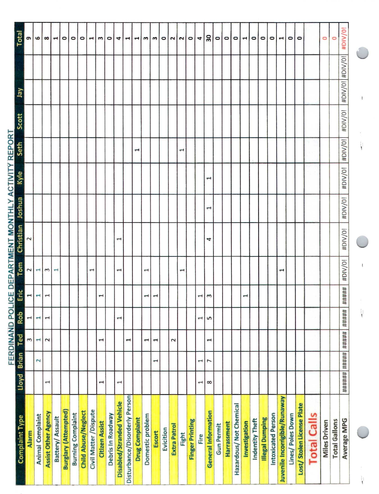| 1<br>$\mathbf{\mathbf{t}}$<br>3<br><b>Brian</b><br>Lloyd  | Ξ<br><b>FERDINAND POLIC</b><br>面<br>Rob<br>Ted |  |       | Tom<br>$\overline{\mathbf{c}}$ | Christian<br>$\sim$   | <u>E DEPARTMENT MONTHLY ACTIVITY REPORT</u><br>Joshua | Kyle         | Seth                  | Scott   | λer             | Total<br>თ            |
|-----------------------------------------------------------|------------------------------------------------|--|-------|--------------------------------|-----------------------|-------------------------------------------------------|--------------|-----------------------|---------|-----------------|-----------------------|
| $\mathbf{\mathbf{r}}$<br>$\overline{\mathbf{r}}$          |                                                |  |       | $\overline{\phantom{0}}$       |                       |                                                       |              |                       |         |                 | ဖ                     |
| $\overline{\phantom{0}}$<br>$\overline{a}$<br>$\sim$<br>I |                                                |  | H.    | $\mathbf{r}$                   |                       |                                                       |              |                       |         |                 | $\infty$              |
|                                                           |                                                |  |       | $\overline{\phantom{a}}$       |                       |                                                       |              |                       |         |                 | $\blacktriangleleft$  |
|                                                           |                                                |  |       |                                |                       |                                                       |              |                       |         |                 | $\circ$               |
|                                                           |                                                |  |       |                                |                       |                                                       |              |                       |         |                 | $\circ$               |
|                                                           |                                                |  |       |                                |                       |                                                       |              |                       |         |                 | ۰                     |
|                                                           |                                                |  |       | $\mathbf \tau$                 |                       |                                                       |              |                       |         |                 | $\mathbf{\mathbf{r}}$ |
| $\mathbf{\mathbf{t}}$<br>$\mathbf \tau$                   |                                                |  |       |                                |                       |                                                       |              |                       |         |                 | $\mathbf{r}$          |
|                                                           |                                                |  |       |                                |                       |                                                       |              |                       |         |                 | $\circ$               |
| ſ<br>$\mathbf \tau$                                       |                                                |  |       | $\overline{ }$                 | $\mathbf{\mathbf{f}}$ |                                                       |              |                       |         |                 | 4                     |
| $\overline{\phantom{0}}$                                  |                                                |  |       |                                |                       |                                                       |              |                       |         |                 | ⊣                     |
|                                                           |                                                |  |       |                                |                       |                                                       |              | $\mathbf{r}$          |         |                 | $\blacktriangleright$ |
| 1                                                         |                                                |  |       | $\mathbf \tau$                 |                       |                                                       |              |                       |         |                 | m                     |
| $\mathbf{\mathbf{t}}$<br>$\mathbf{\mathbf{t}}$            |                                                |  |       |                                |                       |                                                       |              |                       |         |                 | m                     |
|                                                           |                                                |  |       |                                |                       |                                                       |              |                       |         |                 | $\circ$               |
| 2                                                         |                                                |  |       |                                |                       |                                                       |              |                       |         |                 | $\sim$                |
|                                                           |                                                |  |       |                                |                       |                                                       |              | $\mathbf{\mathbf{t}}$ |         |                 | $\sim$                |
|                                                           |                                                |  |       |                                |                       |                                                       |              |                       |         |                 | $\circ$               |
| $\overline{\phantom{0}}$<br>1<br>1                        |                                                |  | H     |                                |                       |                                                       |              |                       |         |                 | 4                     |
| 5<br>$\mathbf{\overline{1}}$<br>L<br>$\infty$             |                                                |  | m     |                                | 4                     | Î                                                     | $\mathbf{f}$ |                       |         |                 | 30                    |
|                                                           |                                                |  |       |                                |                       |                                                       |              |                       |         |                 | $\circ$               |
|                                                           |                                                |  |       |                                |                       |                                                       |              |                       |         |                 | $\circ$               |
|                                                           |                                                |  |       |                                |                       |                                                       |              |                       |         |                 | $\circ$               |
|                                                           |                                                |  |       |                                |                       |                                                       |              |                       |         |                 | $\blacktriangleright$ |
|                                                           |                                                |  |       |                                |                       |                                                       |              |                       |         |                 | $\circ$               |
|                                                           |                                                |  |       |                                |                       |                                                       |              |                       |         |                 | $\circ$               |
|                                                           |                                                |  |       |                                |                       |                                                       |              |                       |         |                 | $\circ$               |
|                                                           |                                                |  |       | 1                              |                       |                                                       |              |                       |         |                 | $\blacktriangleright$ |
|                                                           |                                                |  |       |                                |                       |                                                       |              |                       |         |                 | $\circ$               |
|                                                           |                                                |  |       |                                |                       |                                                       |              |                       |         |                 | $\circ$               |
|                                                           |                                                |  |       |                                |                       |                                                       |              |                       |         |                 |                       |
|                                                           |                                                |  |       |                                |                       |                                                       |              |                       |         |                 | $\circ$               |
|                                                           |                                                |  |       |                                |                       |                                                       |              |                       |         |                 | O                     |
| ######  #####  #####  #####                               |                                                |  | ##### | #DIV/0!                        | #DIV/0!               | #DIV/0!                                               | #DIV/0!      | #DIV/0!               | #DIV/0! | #DIV/0! #DIV/0! | #DIV/0!               |
|                                                           |                                                |  |       |                                |                       |                                                       |              |                       |         |                 |                       |

 $\begin{array}{c} \begin{array}{c} 1 \\ 1 \end{array} \end{array}$ 

 $\frac{1}{\pi}$ 

 $\label{eq:1} \begin{array}{c} \textbf{1} \end{array}$ 

 $\frac{1}{\lambda}$